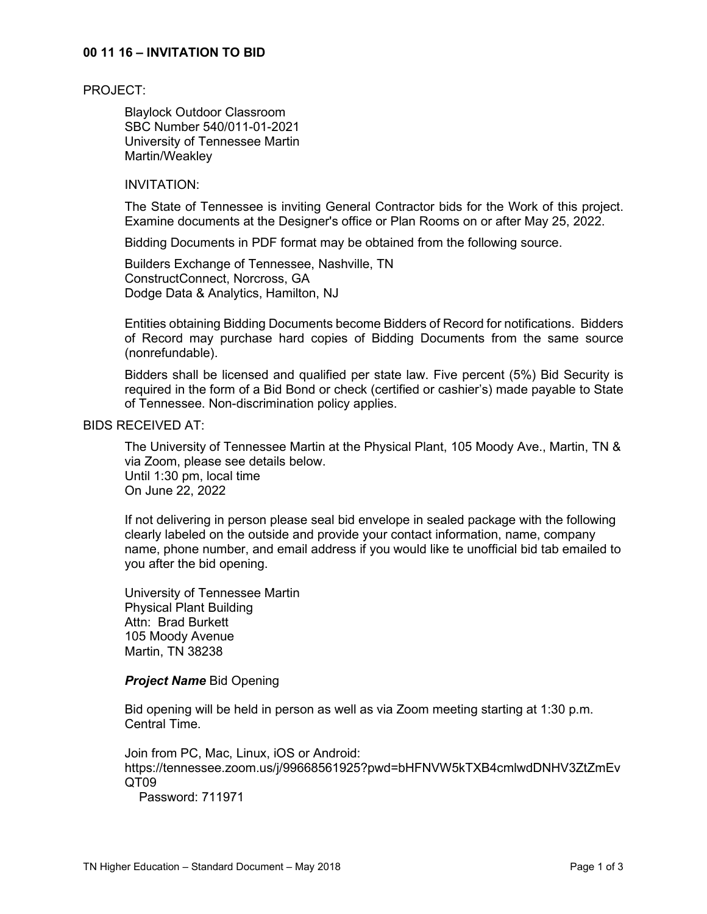## **00 11 16 – INVITATION TO BID**

#### PROJECT:

Blaylock Outdoor Classroom SBC Number 540/011-01-2021 University of Tennessee Martin Martin/Weakley

#### INVITATION:

The State of Tennessee is inviting General Contractor bids for the Work of this project. Examine documents at the Designer's office or Plan Rooms on or after May 25, 2022.

Bidding Documents in PDF format may be obtained from the following source.

Builders Exchange of Tennessee, Nashville, TN ConstructConnect, Norcross, GA Dodge Data & Analytics, Hamilton, NJ

Entities obtaining Bidding Documents become Bidders of Record for notifications. Bidders of Record may purchase hard copies of Bidding Documents from the same source (nonrefundable).

Bidders shall be licensed and qualified per state law. Five percent (5%) Bid Security is required in the form of a Bid Bond or check (certified or cashier's) made payable to State of Tennessee. Non-discrimination policy applies.

# BIDS RECEIVED AT:

The University of Tennessee Martin at the Physical Plant, 105 Moody Ave., Martin, TN & via Zoom, please see details below. Until 1:30 pm, local time On June 22, 2022

If not delivering in person please seal bid envelope in sealed package with the following clearly labeled on the outside and provide your contact information, name, company name, phone number, and email address if you would like te unofficial bid tab emailed to you after the bid opening.

University of Tennessee Martin Physical Plant Building Attn: Brad Burkett 105 Moody Avenue Martin, TN 38238

#### *Project Name* Bid Opening

Bid opening will be held in person as well as via Zoom meeting starting at 1:30 p.m. Central Time.

Join from PC, Mac, Linux, iOS or Android: https://tennessee.zoom.us/j/99668561925?pwd=bHFNVW5kTXB4cmlwdDNHV3ZtZmEv QT09 Password: 711971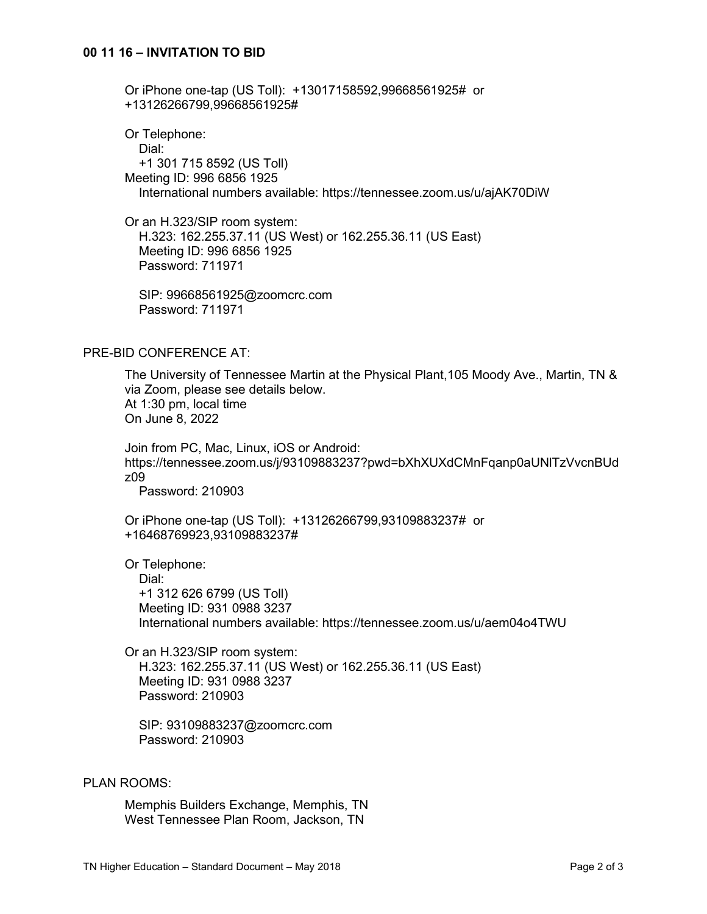Or iPhone one-tap (US Toll): +13017158592,99668561925# or +13126266799,99668561925#

Or Telephone: Dial: +1 301 715 8592 (US Toll) Meeting ID: 996 6856 1925 International numbers available: https://tennessee.zoom.us/u/ajAK70DiW

Or an H.323/SIP room system: H.323: 162.255.37.11 (US West) or 162.255.36.11 (US East) Meeting ID: 996 6856 1925 Password: 711971

 SIP: 99668561925@zoomcrc.com Password: 711971

# PRE-BID CONFERENCE AT:

The University of Tennessee Martin at the Physical Plant,105 Moody Ave., Martin, TN & via Zoom, please see details below. At 1:30 pm, local time On June 8, 2022

Join from PC, Mac, Linux, iOS or Android: https://tennessee.zoom.us/j/93109883237?pwd=bXhXUXdCMnFqanp0aUNlTzVvcnBUd z09

Password: 210903

Or iPhone one-tap (US Toll): +13126266799,93109883237# or +16468769923,93109883237#

Or Telephone:

 Dial: +1 312 626 6799 (US Toll) Meeting ID: 931 0988 3237 International numbers available: https://tennessee.zoom.us/u/aem04o4TWU

Or an H.323/SIP room system: H.323: 162.255.37.11 (US West) or 162.255.36.11 (US East) Meeting ID: 931 0988 3237 Password: 210903

 SIP: 93109883237@zoomcrc.com Password: 210903

## PLAN ROOMS:

Memphis Builders Exchange, Memphis, TN West Tennessee Plan Room, Jackson, TN